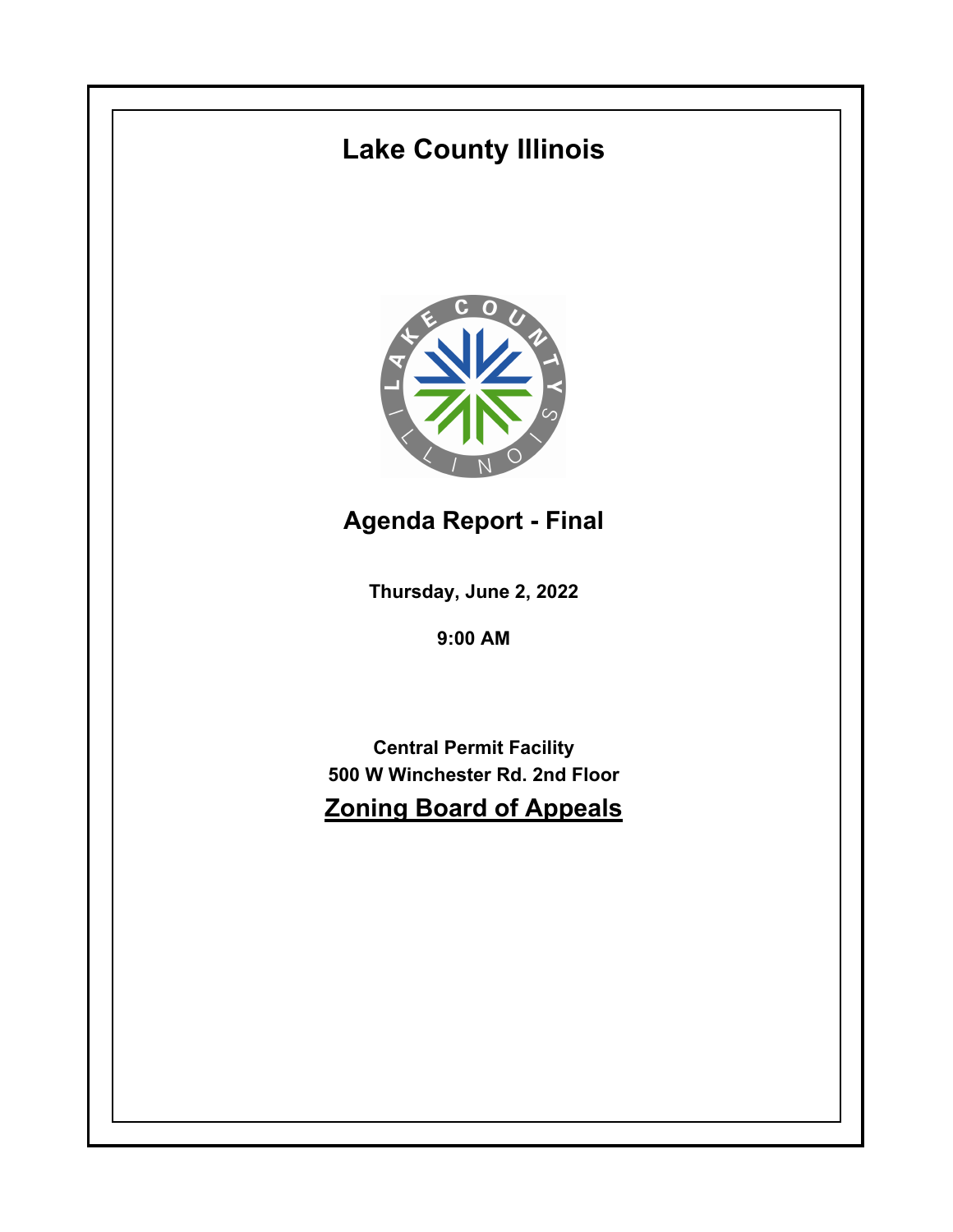